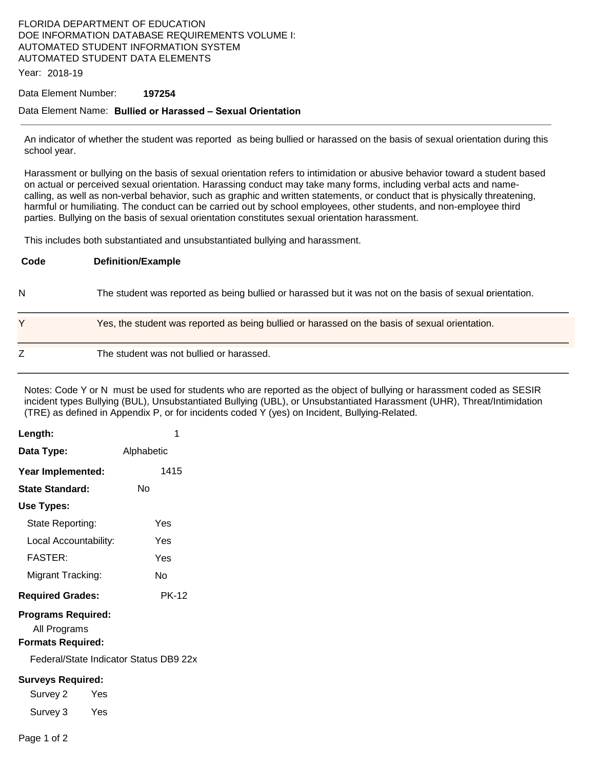## FLORIDA DEPARTMENT OF EDUCATION DOE INFORMATION DATABASE REQUIREMENTS VOLUME I: AUTOMATED STUDENT INFORMATION SYSTEM AUTOMATED STUDENT DATA ELEMENTS

Year: 2018-19

#### Data Element Number: **197254**

#### Data Element Name: **Bullied or Harassed – Sexual Orientation**

An indicator of whether the student was reported as being bullied or harassed on the basis of sexual orientation during this school year.

Harassment or bullying on the basis of sexual orientation refers to intimidation or abusive behavior toward a student based on actual or perceived sexual orientation. Harassing conduct may take many forms, including verbal acts and namecalling, as well as non-verbal behavior, such as graphic and written statements, or conduct that is physically threatening, harmful or humiliating. The conduct can be carried out by school employees, other students, and non-employee third parties. Bullying on the basis of sexual orientation constitutes sexual orientation harassment.

This includes both substantiated and unsubstantiated bullying and harassment.

| Code | <b>Definition/Example</b>                                                                                |
|------|----------------------------------------------------------------------------------------------------------|
| N    | The student was reported as being bullied or harassed but it was not on the basis of sexual prientation. |
| Y    | Yes, the student was reported as being bullied or harassed on the basis of sexual orientation.           |
| Z    | The student was not bullied or harassed.                                                                 |

Notes: Code Y or N must be used for students who are reported as the object of bullying or harassment coded as SESIR incident types Bullying (BUL), Unsubstantiated Bullying (UBL), or Unsubstantiated Harassment (UHR), Threat/Intimidation (TRE) as defined in Appendix P, or for incidents coded Y (yes) on Incident, Bullying-Related.

| Length:                                                               | 1            |  |  |  |
|-----------------------------------------------------------------------|--------------|--|--|--|
| Data Type:                                                            | Alphabetic   |  |  |  |
| Year Implemented:                                                     | 1415         |  |  |  |
| State Standard:                                                       | No           |  |  |  |
| Use Types:                                                            |              |  |  |  |
| State Reporting:                                                      | Yes          |  |  |  |
| Local Accountability:                                                 | Yes          |  |  |  |
| <b>FASTER:</b>                                                        | Yes          |  |  |  |
| Migrant Tracking:                                                     | Nο           |  |  |  |
| <b>Required Grades:</b>                                               | <b>PK-12</b> |  |  |  |
| <b>Programs Required:</b><br>All Programs<br><b>Formats Required:</b> |              |  |  |  |
| Federal/State Indicator Status DB9 22x                                |              |  |  |  |
| <b>Surveys Required:</b>                                              |              |  |  |  |
| Survey 2<br>Yes                                                       |              |  |  |  |
| Survey 3<br>Yes                                                       |              |  |  |  |